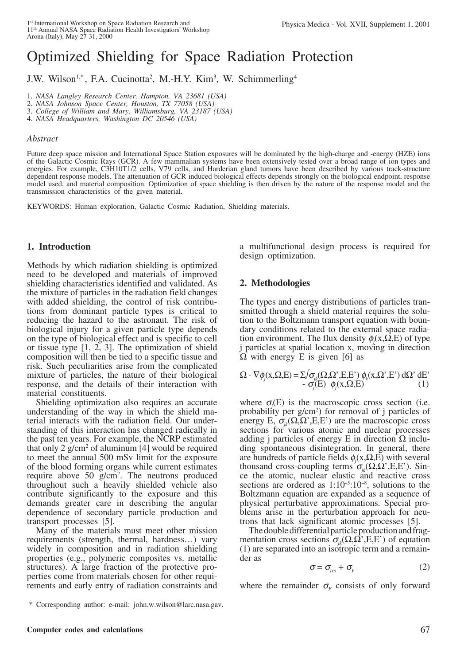# Optimized Shielding for Space Radiation Protection

J.W. Wilson<sup>1,\*</sup>, F.A. Cucinotta<sup>2</sup>, M.-H.Y. Kim<sup>3</sup>, W. Schimmerling<sup>4</sup>

1. *NASA Langley Research Center, Hampton, VA 23681 (USA)*

2. *NASA Johnson Space Center, Houston, TX 77058 (USA)*

3. *College of William and Mary, Williamsburg, VA 23187 (USA)*

4. *NASA Headquarters, Washington DC 20546 (USA)*

#### *Abstract*

Future deep space mission and International Space Station exposures will be dominated by the high-charge and -energy (HZE) ions of the Galactic Cosmic Rays (GCR). A few mammalian systems have been extensively tested over a broad range of ion types and energies. For example, C3H10T1/2 cells, V79 cells, and Harderian gland tumors have been described by various track-structure dependent response models. The attenuation of GCR induced biological effects depends strongly on the biological endpoint, response model used, and material composition. Optimization of space shielding is then driven by the nature of the response model and the transmission characteristics of the given material.

KEYWORDS: Human exploration, Galactic Cosmic Radiation, Shielding materials.

## **1. Introduction**

Methods by which radiation shielding is optimized need to be developed and materials of improved shielding characteristics identified and validated. As the mixture of particles in the radiation field changes with added shielding, the control of risk contributions from dominant particle types is critical to reducing the hazard to the astronaut. The risk of biological injury for a given particle type depends on the type of biological effect and is specific to cell or tissue type [1, 2, 3]. The optimization of shield composition will then be tied to a specific tissue and risk. Such peculiarities arise from the complicated mixture of particles, the nature of their biological response, and the details of their interaction with material constituents.

Shielding optimization also requires an accurate understanding of the way in which the shield material interacts with the radiation field. Our understanding of this interaction has changed radically in the past ten years. For example, the NCRP estimated that only  $2$  g/cm<sup>2</sup> of aluminum [4] would be required to meet the annual 500 mSv limit for the exposure of the blood forming organs while current estimates require above 50 g/cm<sup>2</sup>. The neutrons produced throughout such a heavily shielded vehicle also contribute significantly to the exposure and this demands greater care in describing the angular dependence of secondary particle production and transport processes [5].

Many of the materials must meet other mission requirements (strength, thermal, hardness…) vary widely in composition and in radiation shielding properties (e.g., polymeric composites vs. metallic structures). A large fraction of the protective properties come from materials chosen for other requirements and early entry of radiation constraints and a multifunctional design process is required for design optimization.

## **2. Methodologies**

The types and energy distributions of particles transmitted through a shield material requires the solution to the Boltzmann transport equation with boundary conditions related to the external space radiation environment. The flux density  $\phi_j(x, \Omega, E)$  of type j particles at spatial location x, moving in direction  $\Omega$  with energy E is given [6] as

$$
\Omega \cdot \nabla \phi_j(x, \Omega, E) = \Sigma / \sigma_{jk}(\Omega, \Omega', E, E') \phi_k(x, \Omega', E') d\Omega' dE'- \sigma_j(E) \phi_j(x, \Omega, E)
$$
(1)

where  $\sigma_j(E)$  is the macroscopic cross section (i.e. probability per g/cm2 ) for removal of j particles of energy E,  $\sigma_{ik}(\Omega, \Omega', E, E')$  are the macroscopic cross sections for various atomic and nuclear processes adding j particles of energy E in direction  $\Omega$  including spontaneous disintegration. In general, there are hundreds of particle fields  $\phi_j(x, \Omega, E)$  with several thousand cross-coupling terms  $\sigma_{\nu}(\Omega,\Omega',E,E')$ . Since the atomic, nuclear elastic and reactive cross sections are ordered as  $1:10^{-5}:10^{-8}$ , solutions to the Boltzmann equation are expanded as a sequence of physical perturbative approximations. Special problems arise in the perturbation approach for neutrons that lack significant atomic processes [5].

The double differential particle production and fragmentation cross sections  $\sigma_i(\Omega,\Omega',E,E')$  of equation (1) are separated into an isotropic term and a remainder as

$$
\sigma = \sigma_{iso} + \sigma_{F} \tag{2}
$$

where the remainder  $\sigma_F$  consists of only forward

<sup>\*</sup> Corresponding author: e-mail: john.w.wilson@larc.nasa.gav.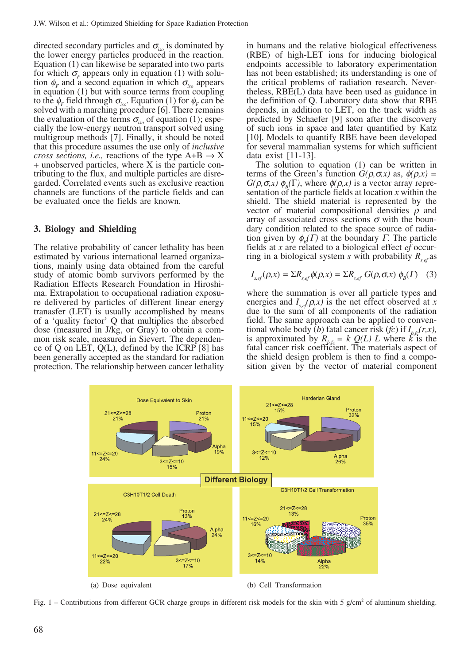directed secondary particles and  $\sigma_{iso}$  is dominated by the lower energy particles produced in the reaction. Equation (1) can likewise be separated into two parts for which  $\sigma_F$  appears only in equation (1) with solution  $\phi_F$  and a second equation in which  $\sigma_{\text{iso}}$  appears in equation (1) but with source terms from coupling to the  $\phi_F$  field through  $\sigma_{iso}$ . Equation (1) for  $\phi_F$  can be solved with a marching procedure [6]. There remains the evaluation of the terms  $\sigma_{iso}$  of equation (1); especially the low-energy neutron transport solved using multigroup methods [7]. Finally, it should be noted that this procedure assumes the use only of *inclusive cross sections, i.e., reactions of the type A+B*  $\rightarrow$  X + unobserved particles, where X is the particle contributing to the flux, and multiple particles are disregarded. Correlated events such as exclusive reaction channels are functions of the particle fields and can be evaluated once the fields are known.

# **3. Biology and Shielding**

The relative probability of cancer lethality has been estimated by various international learned organizations, mainly using data obtained from the careful study of atomic bomb survivors performed by the Radiation Effects Research Foundation in Hiroshima. Extrapolation to occupational radiation exposure delivered by particles of different linear energy tranasfer (LET) is usually accomplished by means of a 'quality factor' Q that multiplies the absorbed dose (measured in J/kg, or Gray) to obtain a common risk scale, measured in Sievert. The dependence of Q on LET,  $Q(L)$ , defined by the ICRP [8] has been generally accepted as the standard for radiation protection. The relationship between cancer lethality in humans and the relative biological effectiveness (RBE) of high-LET ions for inducing biological endpoints accessible to laboratory experimentation has not been established; its understanding is one of the critical problems of radiation research. Nevertheless, RBE(L) data have been used as guidance in the definition of Q. Laboratory data show that RBE depends, in addition to LET, on the track width as predicted by Schaefer [9] soon after the discovery of such ions in space and later quantified by Katz [10]. Models to quantify RBE have been developed for several mammalian systems for which sufficient data exist [11-13].

The solution to equation (1) can be written in terms of the Green's function  $G(\rho, \sigma, x)$  as,  $\phi(\rho, x) =$  $G(\rho, \sigma, x)$   $\phi_{\rho}(\Gamma)$ , where  $\phi(\rho, x)$  is a vector array representation of the particle fields at location *x* within the shield. The shield material is represented by the vector of material compositional densities  $\rho$  and array of associated cross sections  $\sigma$  with the boundary condition related to the space source of radiation given by  $\phi_B(\Gamma)$  at the boundary  $\Gamma$ . The particle fields at *x* are related to a biological effect *ef* occurring in a biological system *s* with probability  $R_{\text{set}}$  as

$$
I_{s,ef}(\rho, x) = \Sigma R_{s,ef} \phi(\rho, x) = \Sigma R_{s,ef} G(\rho, \sigma, x) \phi_B(\Gamma) \quad (3)
$$

where the summation is over all particle types and energies and  $I_{s,ef}(\rho, x)$  is the net effect observed at *x* due to the sum of all components of the radiation field. The same approach can be applied to conventional whole body (*b*) fatal cancer risk (*fc*) if  $I_{b,fc}(r,x)$ , is approximated by  $R_{b,fc} = k \mathcal{Q}(L) L$  where  $k \text{ is the}$ fatal cancer risk coefficient. The materials aspect of the shield design problem is then to find a composition given by the vector of material component



Fig. 1 – Contributions from different GCR charge groups in different risk models for the skin with 5 g/cm<sup>2</sup> of aluminum shielding.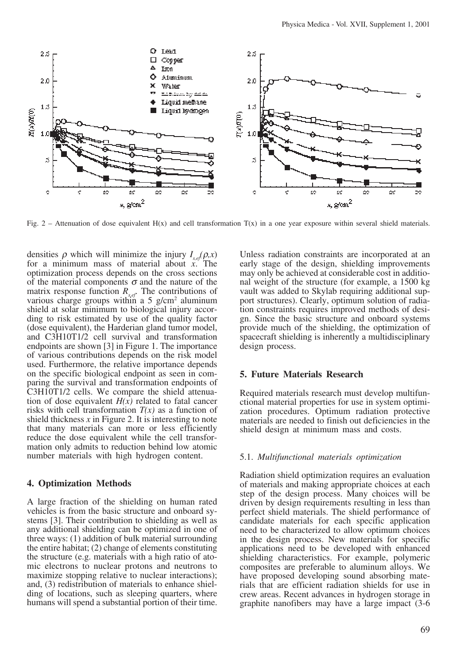

Fig. 2 – Attenuation of dose equivalent  $H(x)$  and cell transformation  $T(x)$  in a one year exposure within several shield materials.

densities  $\rho$  which will minimize the injury  $I_{s,ef}(\rho, x)$ for a minimum mass of material about *x*. The optimization process depends on the cross sections of the material components  $\sigma$  and the nature of the matrix response function  $R_{s,ef}$ . The contributions of various charge groups within a  $5 \text{ g/cm}^2$  aluminum shield at solar minimum to biological injury according to risk estimated by use of the quality factor (dose equivalent), the Harderian gland tumor model, and C3H10T1/2 cell survival and transformation endpoints are shown [3] in Figure 1. The importance of various contributions depends on the risk model used. Furthermore, the relative importance depends on the specific biological endpoint as seen in comparing the survival and transformation endpoints of C3H10T1/2 cells. We compare the shield attenuation of dose equivalent  $H(x)$  related to fatal cancer risks with cell transformation  $T(x)$  as a function of shield thickness  $x$  in Figure 2. It is interesting to note that many materials can more or less efficiently reduce the dose equivalent while the cell transformation only admits to reduction behind low atomic number materials with high hydrogen content.

## **4. Optimization Methods**

A large fraction of the shielding on human rated vehicles is from the basic structure and onboard systems [3]. Their contribution to shielding as well as any additional shielding can be optimized in one of three ways: (1) addition of bulk material surrounding the entire habitat; (2) change of elements constituting the structure (e.g. materials with a high ratio of atomic electrons to nuclear protons and neutrons to maximize stopping relative to nuclear interactions); and, (3) redistribution of materials to enhance shielding of locations, such as sleeping quarters, where humans will spend a substantial portion of their time. Unless radiation constraints are incorporated at an early stage of the design, shielding improvements may only be achieved at considerable cost in additional weight of the structure (for example, a 1500 kg vault was added to Skylab requiring additional support structures). Clearly, optimum solution of radiation constraints requires improved methods of design. Since the basic structure and onboard systems provide much of the shielding, the optimization of spacecraft shielding is inherently a multidisciplinary design process.

## **5. Future Materials Research**

Required materials research must develop multifunctional material properties for use in system optimization procedures. Optimum radiation protective materials are needed to finish out deficiencies in the shield design at minimum mass and costs.

### 5.1. *Multifunctional materials optimization*

Radiation shield optimization requires an evaluation of materials and making appropriate choices at each step of the design process. Many choices will be driven by design requirements resulting in less than perfect shield materials. The shield performance of candidate materials for each specific application need to be characterized to allow optimum choices in the design process. New materials for specific applications need to be developed with enhanced shielding characteristics. For example, polymeric composites are preferable to aluminum alloys. We have proposed developing sound absorbing materials that are efficient radiation shields for use in crew areas. Recent advances in hydrogen storage in graphite nanofibers may have a large impact (3-6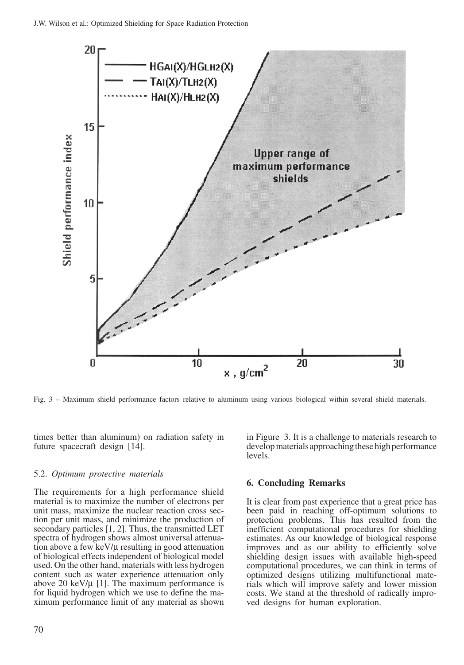

Fig. 3 – Maximum shield performance factors relative to aluminum using various biological within several shield materials.

times better than aluminum) on radiation safety in future spacecraft design [14].

## 5.2. *Optimum protective materials*

The requirements for a high performance shield material is to maximize the number of electrons per unit mass, maximize the nuclear reaction cross section per unit mass, and minimize the production of secondary particles [1, 2]. Thus, the transmitted LET spectra of hydrogen shows almost universal attenuation above a few keV/ $\mu$  resulting in good attenuation of biological effects independent of biological model used. On the other hand, materials with less hydrogen content such as water experience attenuation only above 20 keV/ $\mu$  [1]. The maximum performance is for liquid hydrogen which we use to define the maximum performance limit of any material as shown

in Figure 3. It is a challenge to materials research to develop materials approaching these high performance levels.

## **6. Concluding Remarks**

It is clear from past experience that a great price has been paid in reaching off-optimum solutions to protection problems. This has resulted from the inefficient computational procedures for shielding estimates. As our knowledge of biological response improves and as our ability to efficiently solve shielding design issues with available high-speed computational procedures, we can think in terms of optimized designs utilizing multifunctional materials which will improve safety and lower mission costs. We stand at the threshold of radically improved designs for human exploration.